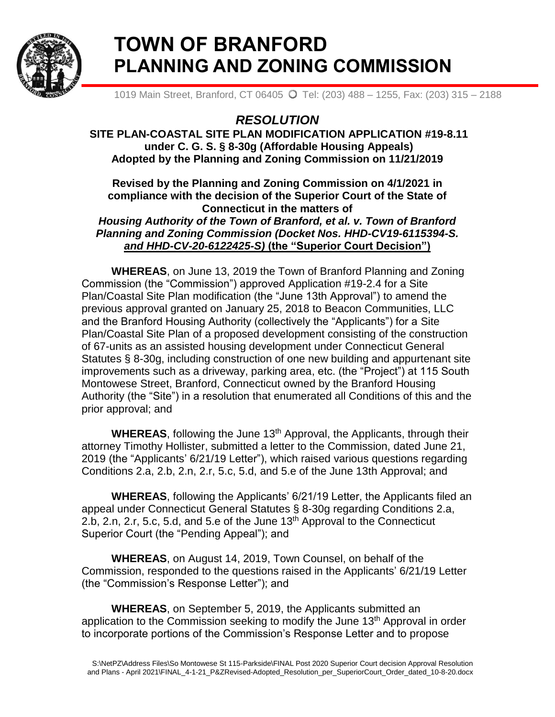

# **TOWN OF BRANFORD PLANNING AND ZONING COMMISSION**

1019 Main Street, Branford, CT 06405 O Tel: (203) 488 - 1255, Fax: (203) 315 - 2188

# *RESOLUTION*

**SITE PLAN-COASTAL SITE PLAN MODIFICATION APPLICATION #19-8.11 under C. G. S. § 8-30g (Affordable Housing Appeals) Adopted by the Planning and Zoning Commission on 11/21/2019**

## **Revised by the Planning and Zoning Commission on 4/1/2021 in compliance with the decision of the Superior Court of the State of Connecticut in the matters of**  *Housing Authority of the Town of Branford, et al. v. Town of Branford Planning and Zoning Commission (Docket Nos. HHD-CV19-6115394-S. and HHD-CV-20-6122425-S)* **(the "Superior Court Decision")**

**WHEREAS**, on June 13, 2019 the Town of Branford Planning and Zoning Commission (the "Commission") approved Application #19-2.4 for a Site Plan/Coastal Site Plan modification (the "June 13th Approval") to amend the previous approval granted on January 25, 2018 to Beacon Communities, LLC and the Branford Housing Authority (collectively the "Applicants") for a Site Plan/Coastal Site Plan of a proposed development consisting of the construction of 67-units as an assisted housing development under Connecticut General Statutes § 8-30g, including construction of one new building and appurtenant site improvements such as a driveway, parking area, etc. (the "Project") at 115 South Montowese Street, Branford, Connecticut owned by the Branford Housing Authority (the "Site") in a resolution that enumerated all Conditions of this and the prior approval; and

**WHEREAS**, following the June 13<sup>th</sup> Approval, the Applicants, through their attorney Timothy Hollister, submitted a letter to the Commission, dated June 21, 2019 (the "Applicants' 6/21/19 Letter"), which raised various questions regarding Conditions 2.a, 2.b, 2.n, 2.r, 5.c, 5.d, and 5.e of the June 13th Approval; and

**WHEREAS**, following the Applicants' 6/21/19 Letter, the Applicants filed an appeal under Connecticut General Statutes § 8-30g regarding Conditions 2.a, 2.b, 2.n, 2.r, 5.c, 5.d, and 5.e of the June 13th Approval to the Connecticut Superior Court (the "Pending Appeal"); and

**WHEREAS**, on August 14, 2019, Town Counsel, on behalf of the Commission, responded to the questions raised in the Applicants' 6/21/19 Letter (the "Commission's Response Letter"); and

**WHEREAS**, on September 5, 2019, the Applicants submitted an application to the Commission seeking to modify the June 13<sup>th</sup> Approval in order to incorporate portions of the Commission's Response Letter and to propose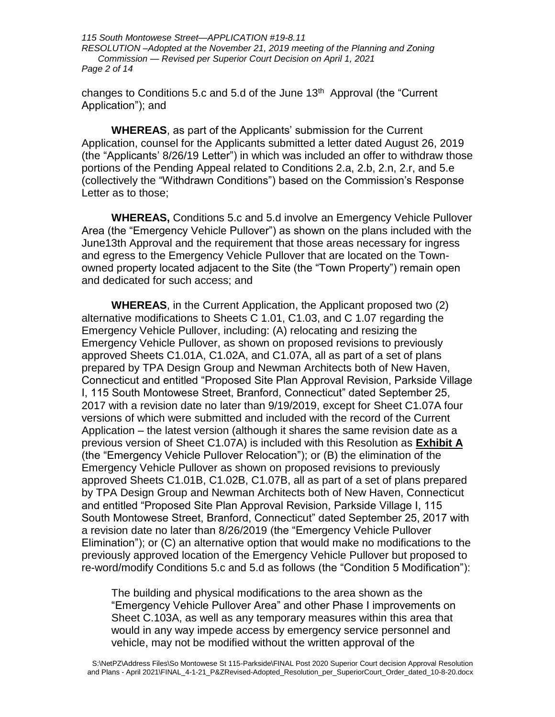*115 South Montowese Street—APPLICATION #19-8.11 RESOLUTION –Adopted at the November 21, 2019 meeting of the Planning and Zoning Commission — Revised per Superior Court Decision on April 1, 2021 Page 2 of 14*

changes to Conditions 5.c and 5.d of the June 13<sup>th</sup> Approval (the "Current" Application"); and

**WHEREAS**, as part of the Applicants' submission for the Current Application, counsel for the Applicants submitted a letter dated August 26, 2019 (the "Applicants' 8/26/19 Letter") in which was included an offer to withdraw those portions of the Pending Appeal related to Conditions 2.a, 2.b, 2.n, 2.r, and 5.e (collectively the "Withdrawn Conditions") based on the Commission's Response Letter as to those;

**WHEREAS,** Conditions 5.c and 5.d involve an Emergency Vehicle Pullover Area (the "Emergency Vehicle Pullover") as shown on the plans included with the June13th Approval and the requirement that those areas necessary for ingress and egress to the Emergency Vehicle Pullover that are located on the Townowned property located adjacent to the Site (the "Town Property") remain open and dedicated for such access; and

**WHEREAS**, in the Current Application, the Applicant proposed two (2) alternative modifications to Sheets C 1.01, C1.03, and C 1.07 regarding the Emergency Vehicle Pullover, including: (A) relocating and resizing the Emergency Vehicle Pullover, as shown on proposed revisions to previously approved Sheets C1.01A, C1.02A, and C1.07A, all as part of a set of plans prepared by TPA Design Group and Newman Architects both of New Haven, Connecticut and entitled "Proposed Site Plan Approval Revision, Parkside Village I, 115 South Montowese Street, Branford, Connecticut" dated September 25, 2017 with a revision date no later than 9/19/2019, except for Sheet C1.07A four versions of which were submitted and included with the record of the Current Application – the latest version (although it shares the same revision date as a previous version of Sheet C1.07A) is included with this Resolution as **Exhibit A** (the "Emergency Vehicle Pullover Relocation"); or (B) the elimination of the Emergency Vehicle Pullover as shown on proposed revisions to previously approved Sheets C1.01B, C1.02B, C1.07B, all as part of a set of plans prepared by TPA Design Group and Newman Architects both of New Haven, Connecticut and entitled "Proposed Site Plan Approval Revision, Parkside Village I, 115 South Montowese Street, Branford, Connecticut" dated September 25, 2017 with a revision date no later than 8/26/2019 (the "Emergency Vehicle Pullover Elimination"); or (C) an alternative option that would make no modifications to the previously approved location of the Emergency Vehicle Pullover but proposed to re-word/modify Conditions 5.c and 5.d as follows (the "Condition 5 Modification"):

The building and physical modifications to the area shown as the "Emergency Vehicle Pullover Area" and other Phase I improvements on Sheet C.103A, as well as any temporary measures within this area that would in any way impede access by emergency service personnel and vehicle, may not be modified without the written approval of the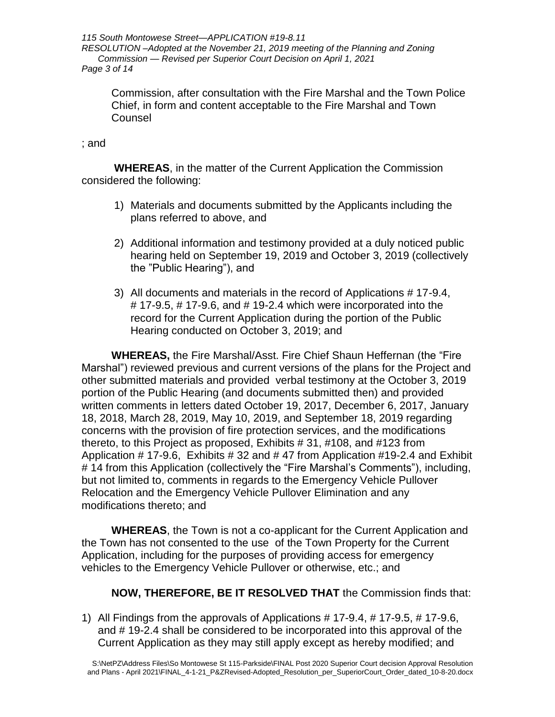*115 South Montowese Street—APPLICATION #19-8.11 RESOLUTION –Adopted at the November 21, 2019 meeting of the Planning and Zoning Commission — Revised per Superior Court Decision on April 1, 2021 Page 3 of 14*

Commission, after consultation with the Fire Marshal and the Town Police Chief, in form and content acceptable to the Fire Marshal and Town Counsel

#### ; and

**WHEREAS**, in the matter of the Current Application the Commission considered the following:

- 1) Materials and documents submitted by the Applicants including the plans referred to above, and
- 2) Additional information and testimony provided at a duly noticed public hearing held on September 19, 2019 and October 3, 2019 (collectively the "Public Hearing"), and
- 3) All documents and materials in the record of Applications # 17-9.4,  $\#$  17-9.5,  $\#$  17-9.6, and  $\#$  19-2.4 which were incorporated into the record for the Current Application during the portion of the Public Hearing conducted on October 3, 2019; and

**WHEREAS,** the Fire Marshal/Asst. Fire Chief Shaun Heffernan (the "Fire Marshal") reviewed previous and current versions of the plans for the Project and other submitted materials and provided verbal testimony at the October 3, 2019 portion of the Public Hearing (and documents submitted then) and provided written comments in letters dated October 19, 2017, December 6, 2017, January 18, 2018, March 28, 2019, May 10, 2019, and September 18, 2019 regarding concerns with the provision of fire protection services, and the modifications thereto, to this Project as proposed, Exhibits # 31, #108, and #123 from Application # 17-9.6, Exhibits # 32 and # 47 from Application #19-2.4 and Exhibit # 14 from this Application (collectively the "Fire Marshal's Comments"), including, but not limited to, comments in regards to the Emergency Vehicle Pullover Relocation and the Emergency Vehicle Pullover Elimination and any modifications thereto; and

**WHEREAS**, the Town is not a co-applicant for the Current Application and the Town has not consented to the use of the Town Property for the Current Application, including for the purposes of providing access for emergency vehicles to the Emergency Vehicle Pullover or otherwise, etc.; and

### **NOW, THEREFORE, BE IT RESOLVED THAT** the Commission finds that:

1) All Findings from the approvals of Applications # 17-9.4, # 17-9.5, # 17-9.6, and # 19-2.4 shall be considered to be incorporated into this approval of the Current Application as they may still apply except as hereby modified; and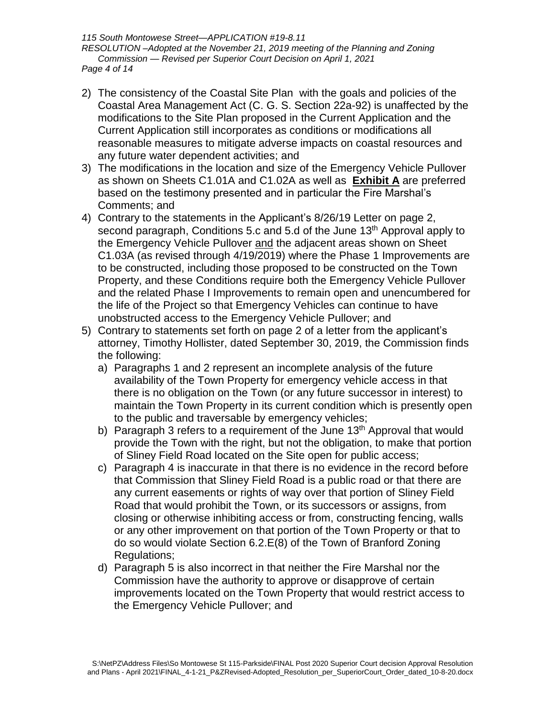*115 South Montowese Street—APPLICATION #19-8.11 RESOLUTION –Adopted at the November 21, 2019 meeting of the Planning and Zoning Commission — Revised per Superior Court Decision on April 1, 2021 Page 4 of 14*

- 2) The consistency of the Coastal Site Plan with the goals and policies of the Coastal Area Management Act (C. G. S. Section 22a-92) is unaffected by the modifications to the Site Plan proposed in the Current Application and the Current Application still incorporates as conditions or modifications all reasonable measures to mitigate adverse impacts on coastal resources and any future water dependent activities; and
- 3) The modifications in the location and size of the Emergency Vehicle Pullover as shown on Sheets C1.01A and C1.02A as well as **Exhibit A** are preferred based on the testimony presented and in particular the Fire Marshal's Comments; and
- 4) Contrary to the statements in the Applicant's 8/26/19 Letter on page 2, second paragraph, Conditions 5.c and 5.d of the June 13<sup>th</sup> Approval apply to the Emergency Vehicle Pullover and the adjacent areas shown on Sheet C1.03A (as revised through 4/19/2019) where the Phase 1 Improvements are to be constructed, including those proposed to be constructed on the Town Property, and these Conditions require both the Emergency Vehicle Pullover and the related Phase I Improvements to remain open and unencumbered for the life of the Project so that Emergency Vehicles can continue to have unobstructed access to the Emergency Vehicle Pullover; and
- 5) Contrary to statements set forth on page 2 of a letter from the applicant's attorney, Timothy Hollister, dated September 30, 2019, the Commission finds the following:
	- a) Paragraphs 1 and 2 represent an incomplete analysis of the future availability of the Town Property for emergency vehicle access in that there is no obligation on the Town (or any future successor in interest) to maintain the Town Property in its current condition which is presently open to the public and traversable by emergency vehicles;
	- b) Paragraph 3 refers to a requirement of the June  $13<sup>th</sup>$  Approval that would provide the Town with the right, but not the obligation, to make that portion of Sliney Field Road located on the Site open for public access;
	- c) Paragraph 4 is inaccurate in that there is no evidence in the record before that Commission that Sliney Field Road is a public road or that there are any current easements or rights of way over that portion of Sliney Field Road that would prohibit the Town, or its successors or assigns, from closing or otherwise inhibiting access or from, constructing fencing, walls or any other improvement on that portion of the Town Property or that to do so would violate Section 6.2.E(8) of the Town of Branford Zoning Regulations;
	- d) Paragraph 5 is also incorrect in that neither the Fire Marshal nor the Commission have the authority to approve or disapprove of certain improvements located on the Town Property that would restrict access to the Emergency Vehicle Pullover; and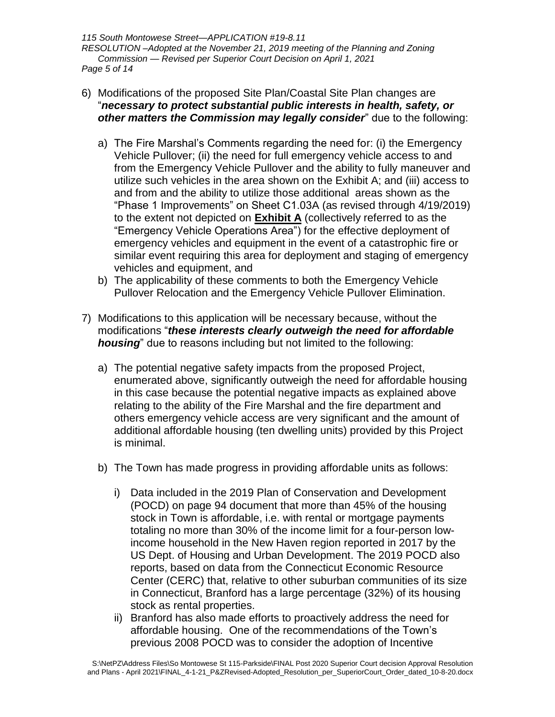*115 South Montowese Street—APPLICATION #19-8.11 RESOLUTION –Adopted at the November 21, 2019 meeting of the Planning and Zoning Commission — Revised per Superior Court Decision on April 1, 2021 Page 5 of 14*

- 6) Modifications of the proposed Site Plan/Coastal Site Plan changes are "*necessary to protect substantial public interests in health, safety, or other matters the Commission may legally consider*" due to the following:
	- a) The Fire Marshal's Comments regarding the need for: (i) the Emergency Vehicle Pullover; (ii) the need for full emergency vehicle access to and from the Emergency Vehicle Pullover and the ability to fully maneuver and utilize such vehicles in the area shown on the Exhibit A; and (iii) access to and from and the ability to utilize those additional areas shown as the "Phase 1 Improvements" on Sheet C1.03A (as revised through 4/19/2019) to the extent not depicted on **Exhibit A** (collectively referred to as the "Emergency Vehicle Operations Area") for the effective deployment of emergency vehicles and equipment in the event of a catastrophic fire or similar event requiring this area for deployment and staging of emergency vehicles and equipment, and
	- b) The applicability of these comments to both the Emergency Vehicle Pullover Relocation and the Emergency Vehicle Pullover Elimination.
- 7) Modifications to this application will be necessary because, without the modifications "*these interests clearly outweigh the need for affordable housing*" due to reasons including but not limited to the following:
	- a) The potential negative safety impacts from the proposed Project, enumerated above, significantly outweigh the need for affordable housing in this case because the potential negative impacts as explained above relating to the ability of the Fire Marshal and the fire department and others emergency vehicle access are very significant and the amount of additional affordable housing (ten dwelling units) provided by this Project is minimal.
	- b) The Town has made progress in providing affordable units as follows:
		- i) Data included in the 2019 Plan of Conservation and Development (POCD) on page 94 document that more than 45% of the housing stock in Town is affordable, i.e. with rental or mortgage payments totaling no more than 30% of the income limit for a four-person lowincome household in the New Haven region reported in 2017 by the US Dept. of Housing and Urban Development. The 2019 POCD also reports, based on data from the Connecticut Economic Resource Center (CERC) that, relative to other suburban communities of its size in Connecticut, Branford has a large percentage (32%) of its housing stock as rental properties.
		- ii) Branford has also made efforts to proactively address the need for affordable housing. One of the recommendations of the Town's previous 2008 POCD was to consider the adoption of Incentive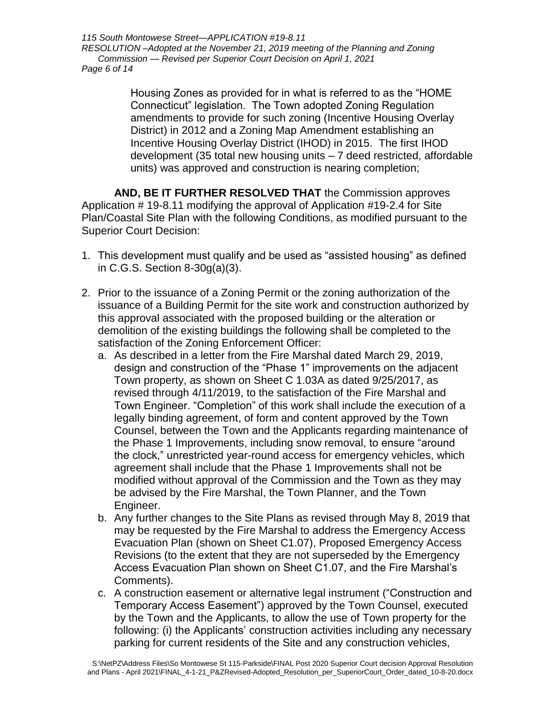*115 South Montowese Street—APPLICATION #19-8.11 RESOLUTION –Adopted at the November 21, 2019 meeting of the Planning and Zoning Commission — Revised per Superior Court Decision on April 1, 2021 Page 6 of 14*

> Housing Zones as provided for in what is referred to as the "HOME Connecticut" legislation. The Town adopted Zoning Regulation amendments to provide for such zoning (Incentive Housing Overlay District) in 2012 and a Zoning Map Amendment establishing an Incentive Housing Overlay District (IHOD) in 2015. The first IHOD development (35 total new housing units – 7 deed restricted, affordable units) was approved and construction is nearing completion;

**AND, BE IT FURTHER RESOLVED THAT** the Commission approves Application # 19-8.11 modifying the approval of Application #19-2.4 for Site Plan/Coastal Site Plan with the following Conditions, as modified pursuant to the Superior Court Decision:

- 1. This development must qualify and be used as "assisted housing" as defined in C.G.S. Section 8-30g(a)(3).
- 2. Prior to the issuance of a Zoning Permit or the zoning authorization of the issuance of a Building Permit for the site work and construction authorized by this approval associated with the proposed building or the alteration or demolition of the existing buildings the following shall be completed to the satisfaction of the Zoning Enforcement Officer:
	- a. As described in a letter from the Fire Marshal dated March 29, 2019, design and construction of the "Phase 1" improvements on the adjacent Town property, as shown on Sheet C 1.03A as dated 9/25/2017, as revised through 4/11/2019, to the satisfaction of the Fire Marshal and Town Engineer. "Completion" of this work shall include the execution of a legally binding agreement, of form and content approved by the Town Counsel, between the Town and the Applicants regarding maintenance of the Phase 1 Improvements, including snow removal, to ensure "around the clock," unrestricted year-round access for emergency vehicles, which agreement shall include that the Phase 1 Improvements shall not be modified without approval of the Commission and the Town as they may be advised by the Fire Marshal, the Town Planner, and the Town Engineer.
	- b. Any further changes to the Site Plans as revised through May 8, 2019 that may be requested by the Fire Marshal to address the Emergency Access Evacuation Plan (shown on Sheet C1.07), Proposed Emergency Access Revisions (to the extent that they are not superseded by the Emergency Access Evacuation Plan shown on Sheet C1.07, and the Fire Marshal's Comments).
	- c. A construction easement or alternative legal instrument ("Construction and Temporary Access Easement") approved by the Town Counsel, executed by the Town and the Applicants, to allow the use of Town property for the following: (i) the Applicants' construction activities including any necessary parking for current residents of the Site and any construction vehicles,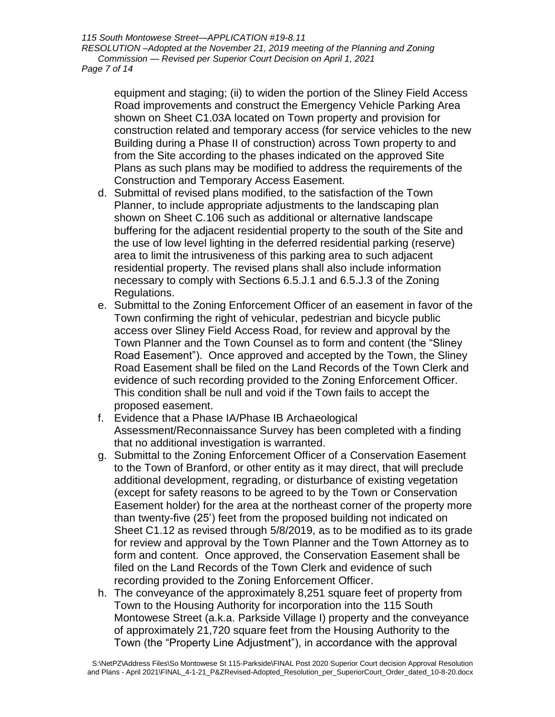*115 South Montowese Street—APPLICATION #19-8.11 RESOLUTION –Adopted at the November 21, 2019 meeting of the Planning and Zoning Commission — Revised per Superior Court Decision on April 1, 2021 Page 7 of 14*

equipment and staging; (ii) to widen the portion of the Sliney Field Access Road improvements and construct the Emergency Vehicle Parking Area shown on Sheet C1.03A located on Town property and provision for construction related and temporary access (for service vehicles to the new Building during a Phase II of construction) across Town property to and from the Site according to the phases indicated on the approved Site Plans as such plans may be modified to address the requirements of the Construction and Temporary Access Easement.

- d. Submittal of revised plans modified, to the satisfaction of the Town Planner, to include appropriate adjustments to the landscaping plan shown on Sheet C.106 such as additional or alternative landscape buffering for the adjacent residential property to the south of the Site and the use of low level lighting in the deferred residential parking (reserve) area to limit the intrusiveness of this parking area to such adjacent residential property. The revised plans shall also include information necessary to comply with Sections 6.5.J.1 and 6.5.J.3 of the Zoning Regulations.
- e. Submittal to the Zoning Enforcement Officer of an easement in favor of the Town confirming the right of vehicular, pedestrian and bicycle public access over Sliney Field Access Road, for review and approval by the Town Planner and the Town Counsel as to form and content (the "Sliney Road Easement"). Once approved and accepted by the Town, the Sliney Road Easement shall be filed on the Land Records of the Town Clerk and evidence of such recording provided to the Zoning Enforcement Officer. This condition shall be null and void if the Town fails to accept the proposed easement.
- f. Evidence that a Phase IA/Phase IB Archaeological Assessment/Reconnaissance Survey has been completed with a finding that no additional investigation is warranted.
- g. Submittal to the Zoning Enforcement Officer of a Conservation Easement to the Town of Branford, or other entity as it may direct, that will preclude additional development, regrading, or disturbance of existing vegetation (except for safety reasons to be agreed to by the Town or Conservation Easement holder) for the area at the northeast corner of the property more than twenty-five (25') feet from the proposed building not indicated on Sheet C1.12 as revised through 5/8/2019, as to be modified as to its grade for review and approval by the Town Planner and the Town Attorney as to form and content. Once approved, the Conservation Easement shall be filed on the Land Records of the Town Clerk and evidence of such recording provided to the Zoning Enforcement Officer.
- h. The conveyance of the approximately 8,251 square feet of property from Town to the Housing Authority for incorporation into the 115 South Montowese Street (a.k.a. Parkside Village I) property and the conveyance of approximately 21,720 square feet from the Housing Authority to the Town (the "Property Line Adjustment"), in accordance with the approval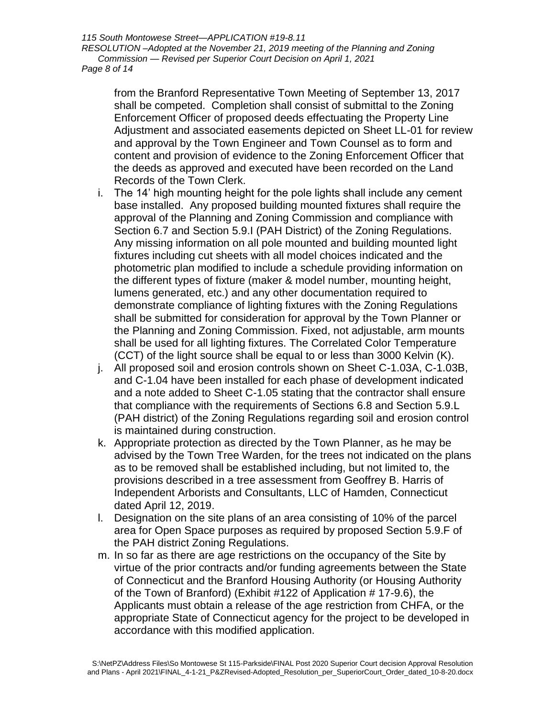*115 South Montowese Street—APPLICATION #19-8.11 RESOLUTION –Adopted at the November 21, 2019 meeting of the Planning and Zoning Commission — Revised per Superior Court Decision on April 1, 2021 Page 8 of 14*

from the Branford Representative Town Meeting of September 13, 2017 shall be competed. Completion shall consist of submittal to the Zoning Enforcement Officer of proposed deeds effectuating the Property Line Adjustment and associated easements depicted on Sheet LL-01 for review and approval by the Town Engineer and Town Counsel as to form and content and provision of evidence to the Zoning Enforcement Officer that the deeds as approved and executed have been recorded on the Land Records of the Town Clerk.

- i. The 14' high mounting height for the pole lights shall include any cement base installed. Any proposed building mounted fixtures shall require the approval of the Planning and Zoning Commission and compliance with Section 6.7 and Section 5.9.I (PAH District) of the Zoning Regulations. Any missing information on all pole mounted and building mounted light fixtures including cut sheets with all model choices indicated and the photometric plan modified to include a schedule providing information on the different types of fixture (maker & model number, mounting height, lumens generated, etc.) and any other documentation required to demonstrate compliance of lighting fixtures with the Zoning Regulations shall be submitted for consideration for approval by the Town Planner or the Planning and Zoning Commission. Fixed, not adjustable, arm mounts shall be used for all lighting fixtures. The Correlated Color Temperature (CCT) of the light source shall be equal to or less than 3000 Kelvin (K).
- j. All proposed soil and erosion controls shown on Sheet C-1.03A, C-1.03B, and C-1.04 have been installed for each phase of development indicated and a note added to Sheet C-1.05 stating that the contractor shall ensure that compliance with the requirements of Sections 6.8 and Section 5.9.L (PAH district) of the Zoning Regulations regarding soil and erosion control is maintained during construction.
- k. Appropriate protection as directed by the Town Planner, as he may be advised by the Town Tree Warden, for the trees not indicated on the plans as to be removed shall be established including, but not limited to, the provisions described in a tree assessment from Geoffrey B. Harris of Independent Arborists and Consultants, LLC of Hamden, Connecticut dated April 12, 2019.
- l. Designation on the site plans of an area consisting of 10% of the parcel area for Open Space purposes as required by proposed Section 5.9.F of the PAH district Zoning Regulations.
- m. In so far as there are age restrictions on the occupancy of the Site by virtue of the prior contracts and/or funding agreements between the State of Connecticut and the Branford Housing Authority (or Housing Authority of the Town of Branford) (Exhibit #122 of Application # 17-9.6), the Applicants must obtain a release of the age restriction from CHFA, or the appropriate State of Connecticut agency for the project to be developed in accordance with this modified application.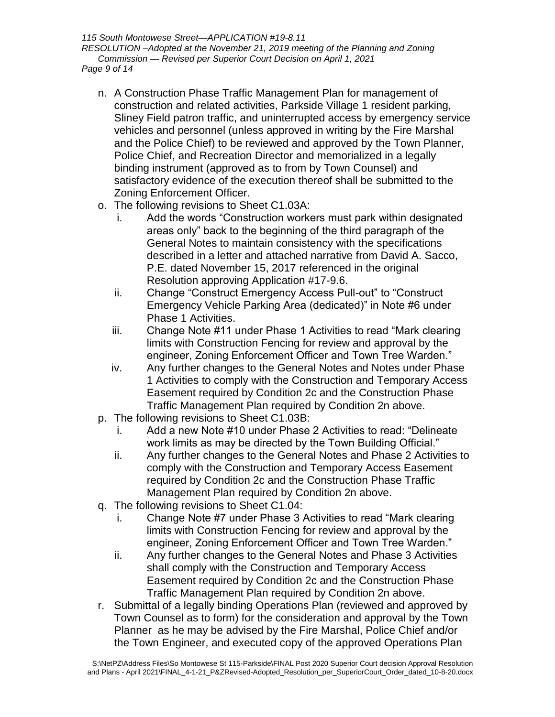*115 South Montowese Street—APPLICATION #19-8.11 RESOLUTION –Adopted at the November 21, 2019 meeting of the Planning and Zoning Commission — Revised per Superior Court Decision on April 1, 2021 Page 9 of 14*

- n. A Construction Phase Traffic Management Plan for management of construction and related activities, Parkside Village 1 resident parking, Sliney Field patron traffic, and uninterrupted access by emergency service vehicles and personnel (unless approved in writing by the Fire Marshal and the Police Chief) to be reviewed and approved by the Town Planner, Police Chief, and Recreation Director and memorialized in a legally binding instrument (approved as to from by Town Counsel) and satisfactory evidence of the execution thereof shall be submitted to the Zoning Enforcement Officer.
- o. The following revisions to Sheet C1.03A:
	- i. Add the words "Construction workers must park within designated areas only" back to the beginning of the third paragraph of the General Notes to maintain consistency with the specifications described in a letter and attached narrative from David A. Sacco, P.E. dated November 15, 2017 referenced in the original Resolution approving Application #17-9.6.
	- ii. Change "Construct Emergency Access Pull-out" to "Construct Emergency Vehicle Parking Area (dedicated)" in Note #6 under Phase 1 Activities.
	- iii. Change Note #11 under Phase 1 Activities to read "Mark clearing limits with Construction Fencing for review and approval by the engineer, Zoning Enforcement Officer and Town Tree Warden."
	- iv. Any further changes to the General Notes and Notes under Phase 1 Activities to comply with the Construction and Temporary Access Easement required by Condition 2c and the Construction Phase Traffic Management Plan required by Condition 2n above.
- p. The following revisions to Sheet C1.03B:
	- i. Add a new Note #10 under Phase 2 Activities to read: "Delineate work limits as may be directed by the Town Building Official."
	- ii. Any further changes to the General Notes and Phase 2 Activities to comply with the Construction and Temporary Access Easement required by Condition 2c and the Construction Phase Traffic Management Plan required by Condition 2n above.
- q. The following revisions to Sheet C1.04:
	- i. Change Note #7 under Phase 3 Activities to read "Mark clearing limits with Construction Fencing for review and approval by the engineer, Zoning Enforcement Officer and Town Tree Warden."
	- ii. Any further changes to the General Notes and Phase 3 Activities shall comply with the Construction and Temporary Access Easement required by Condition 2c and the Construction Phase Traffic Management Plan required by Condition 2n above.
- r. Submittal of a legally binding Operations Plan (reviewed and approved by Town Counsel as to form) for the consideration and approval by the Town Planner as he may be advised by the Fire Marshal, Police Chief and/or the Town Engineer, and executed copy of the approved Operations Plan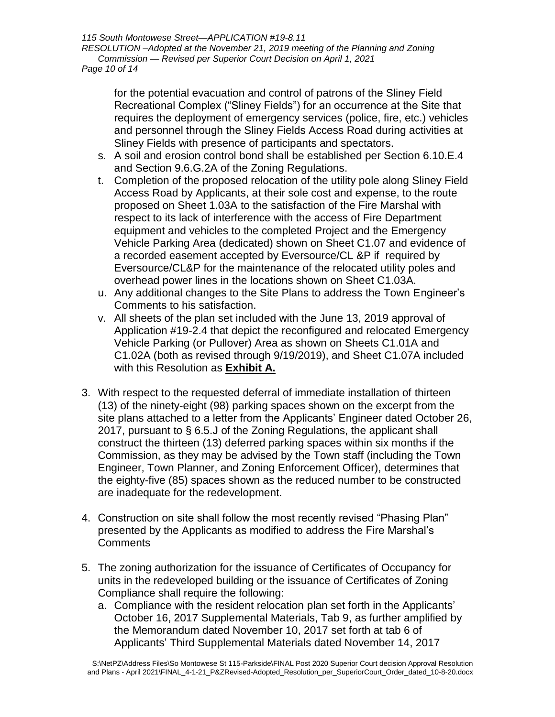*115 South Montowese Street—APPLICATION #19-8.11 RESOLUTION –Adopted at the November 21, 2019 meeting of the Planning and Zoning Commission — Revised per Superior Court Decision on April 1, 2021 Page 10 of 14*

for the potential evacuation and control of patrons of the Sliney Field Recreational Complex ("Sliney Fields") for an occurrence at the Site that requires the deployment of emergency services (police, fire, etc.) vehicles and personnel through the Sliney Fields Access Road during activities at Sliney Fields with presence of participants and spectators.

- s. A soil and erosion control bond shall be established per Section 6.10.E.4 and Section 9.6.G.2A of the Zoning Regulations.
- t. Completion of the proposed relocation of the utility pole along Sliney Field Access Road by Applicants, at their sole cost and expense, to the route proposed on Sheet 1.03A to the satisfaction of the Fire Marshal with respect to its lack of interference with the access of Fire Department equipment and vehicles to the completed Project and the Emergency Vehicle Parking Area (dedicated) shown on Sheet C1.07 and evidence of a recorded easement accepted by Eversource/CL &P if required by Eversource/CL&P for the maintenance of the relocated utility poles and overhead power lines in the locations shown on Sheet C1.03A.
- u. Any additional changes to the Site Plans to address the Town Engineer's Comments to his satisfaction.
- v. All sheets of the plan set included with the June 13, 2019 approval of Application #19-2.4 that depict the reconfigured and relocated Emergency Vehicle Parking (or Pullover) Area as shown on Sheets C1.01A and C1.02A (both as revised through 9/19/2019), and Sheet C1.07A included with this Resolution as **Exhibit A.**
- 3. With respect to the requested deferral of immediate installation of thirteen (13) of the ninety-eight (98) parking spaces shown on the excerpt from the site plans attached to a letter from the Applicants' Engineer dated October 26, 2017, pursuant to § 6.5.J of the Zoning Regulations, the applicant shall construct the thirteen (13) deferred parking spaces within six months if the Commission, as they may be advised by the Town staff (including the Town Engineer, Town Planner, and Zoning Enforcement Officer), determines that the eighty-five (85) spaces shown as the reduced number to be constructed are inadequate for the redevelopment.
- 4. Construction on site shall follow the most recently revised "Phasing Plan" presented by the Applicants as modified to address the Fire Marshal's **Comments**
- 5. The zoning authorization for the issuance of Certificates of Occupancy for units in the redeveloped building or the issuance of Certificates of Zoning Compliance shall require the following:
	- a. Compliance with the resident relocation plan set forth in the Applicants' October 16, 2017 Supplemental Materials, Tab 9, as further amplified by the Memorandum dated November 10, 2017 set forth at tab 6 of Applicants' Third Supplemental Materials dated November 14, 2017

S:\NetPZ\Address Files\So Montowese St 115-Parkside\FINAL Post 2020 Superior Court decision Approval Resolution and Plans - April 2021\FINAL\_4-1-21\_P&ZRevised-Adopted\_Resolution\_per\_SuperiorCourt\_Order\_dated\_10-8-20.docx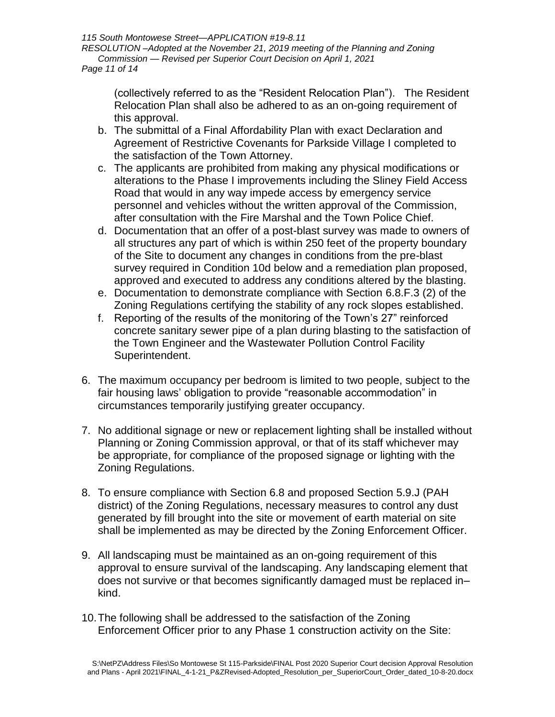*115 South Montowese Street—APPLICATION #19-8.11 RESOLUTION –Adopted at the November 21, 2019 meeting of the Planning and Zoning Commission — Revised per Superior Court Decision on April 1, 2021 Page 11 of 14*

(collectively referred to as the "Resident Relocation Plan"). The Resident Relocation Plan shall also be adhered to as an on-going requirement of this approval.

- b. The submittal of a Final Affordability Plan with exact Declaration and Agreement of Restrictive Covenants for Parkside Village I completed to the satisfaction of the Town Attorney.
- c. The applicants are prohibited from making any physical modifications or alterations to the Phase I improvements including the Sliney Field Access Road that would in any way impede access by emergency service personnel and vehicles without the written approval of the Commission, after consultation with the Fire Marshal and the Town Police Chief.
- d. Documentation that an offer of a post-blast survey was made to owners of all structures any part of which is within 250 feet of the property boundary of the Site to document any changes in conditions from the pre-blast survey required in Condition 10d below and a remediation plan proposed, approved and executed to address any conditions altered by the blasting.
- e. Documentation to demonstrate compliance with Section 6.8.F.3 (2) of the Zoning Regulations certifying the stability of any rock slopes established.
- f. Reporting of the results of the monitoring of the Town's 27" reinforced concrete sanitary sewer pipe of a plan during blasting to the satisfaction of the Town Engineer and the Wastewater Pollution Control Facility Superintendent.
- 6. The maximum occupancy per bedroom is limited to two people, subject to the fair housing laws' obligation to provide "reasonable accommodation" in circumstances temporarily justifying greater occupancy.
- 7. No additional signage or new or replacement lighting shall be installed without Planning or Zoning Commission approval, or that of its staff whichever may be appropriate, for compliance of the proposed signage or lighting with the Zoning Regulations.
- 8. To ensure compliance with Section 6.8 and proposed Section 5.9.J (PAH district) of the Zoning Regulations, necessary measures to control any dust generated by fill brought into the site or movement of earth material on site shall be implemented as may be directed by the Zoning Enforcement Officer.
- 9. All landscaping must be maintained as an on-going requirement of this approval to ensure survival of the landscaping. Any landscaping element that does not survive or that becomes significantly damaged must be replaced in– kind.
- 10.The following shall be addressed to the satisfaction of the Zoning Enforcement Officer prior to any Phase 1 construction activity on the Site: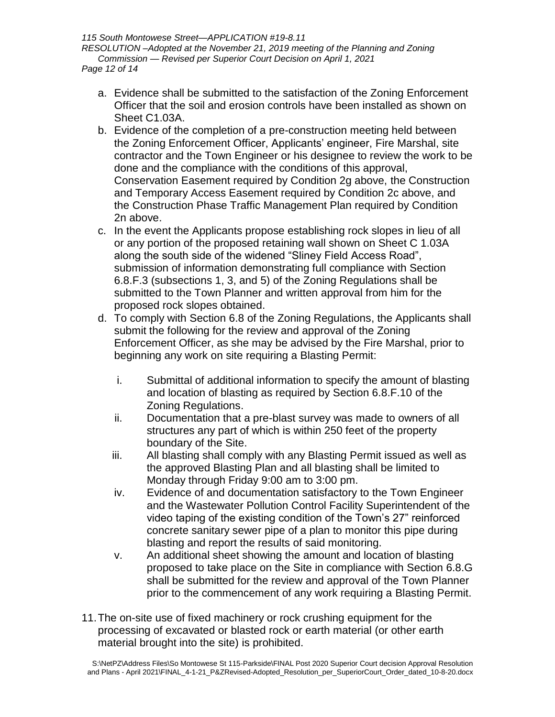*115 South Montowese Street—APPLICATION #19-8.11 RESOLUTION –Adopted at the November 21, 2019 meeting of the Planning and Zoning Commission — Revised per Superior Court Decision on April 1, 2021 Page 12 of 14*

- a. Evidence shall be submitted to the satisfaction of the Zoning Enforcement Officer that the soil and erosion controls have been installed as shown on Sheet C1.03A.
- b. Evidence of the completion of a pre-construction meeting held between the Zoning Enforcement Officer, Applicants' engineer, Fire Marshal, site contractor and the Town Engineer or his designee to review the work to be done and the compliance with the conditions of this approval, Conservation Easement required by Condition 2g above, the Construction and Temporary Access Easement required by Condition 2c above, and the Construction Phase Traffic Management Plan required by Condition 2n above.
- c. In the event the Applicants propose establishing rock slopes in lieu of all or any portion of the proposed retaining wall shown on Sheet C 1.03A along the south side of the widened "Sliney Field Access Road", submission of information demonstrating full compliance with Section 6.8.F.3 (subsections 1, 3, and 5) of the Zoning Regulations shall be submitted to the Town Planner and written approval from him for the proposed rock slopes obtained.
- d. To comply with Section 6.8 of the Zoning Regulations, the Applicants shall submit the following for the review and approval of the Zoning Enforcement Officer, as she may be advised by the Fire Marshal, prior to beginning any work on site requiring a Blasting Permit:
	- i. Submittal of additional information to specify the amount of blasting and location of blasting as required by Section 6.8.F.10 of the Zoning Regulations.
	- ii. Documentation that a pre-blast survey was made to owners of all structures any part of which is within 250 feet of the property boundary of the Site.
	- iii. All blasting shall comply with any Blasting Permit issued as well as the approved Blasting Plan and all blasting shall be limited to Monday through Friday 9:00 am to 3:00 pm.
	- iv. Evidence of and documentation satisfactory to the Town Engineer and the Wastewater Pollution Control Facility Superintendent of the video taping of the existing condition of the Town's 27" reinforced concrete sanitary sewer pipe of a plan to monitor this pipe during blasting and report the results of said monitoring.
	- v. An additional sheet showing the amount and location of blasting proposed to take place on the Site in compliance with Section 6.8.G shall be submitted for the review and approval of the Town Planner prior to the commencement of any work requiring a Blasting Permit.
- 11.The on-site use of fixed machinery or rock crushing equipment for the processing of excavated or blasted rock or earth material (or other earth material brought into the site) is prohibited.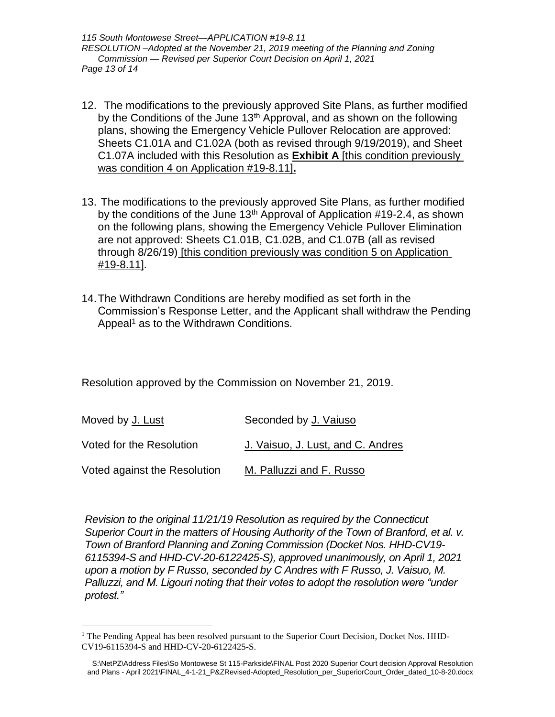*115 South Montowese Street—APPLICATION #19-8.11 RESOLUTION –Adopted at the November 21, 2019 meeting of the Planning and Zoning Commission — Revised per Superior Court Decision on April 1, 2021 Page 13 of 14*

- 12. The modifications to the previously approved Site Plans, as further modified by the Conditions of the June 13<sup>th</sup> Approval, and as shown on the following plans, showing the Emergency Vehicle Pullover Relocation are approved: Sheets C1.01A and C1.02A (both as revised through 9/19/2019), and Sheet C1.07A included with this Resolution as **Exhibit A** [this condition previously was condition 4 on Application #19-8.11]**.**
- 13. The modifications to the previously approved Site Plans, as further modified by the conditions of the June  $13<sup>th</sup>$  Approval of Application #19-2.4, as shown on the following plans, showing the Emergency Vehicle Pullover Elimination are not approved: Sheets C1.01B, C1.02B, and C1.07B (all as revised through 8/26/19) [this condition previously was condition 5 on Application #19-8.11].
- 14.The Withdrawn Conditions are hereby modified as set forth in the Commission's Response Letter, and the Applicant shall withdraw the Pending Appeal<sup>1</sup> as to the Withdrawn Conditions.

Resolution approved by the Commission on November 21, 2019.

| Moved by J. Lust             | Seconded by J. Vaiuso             |
|------------------------------|-----------------------------------|
| Voted for the Resolution     | J. Vaisuo, J. Lust, and C. Andres |
| Voted against the Resolution | M. Palluzzi and F. Russo          |

*Revision to the original 11/21/19 Resolution as required by the Connecticut Superior Court in the matters of Housing Authority of the Town of Branford, et al. v. Town of Branford Planning and Zoning Commission (Docket Nos. HHD-CV19- 6115394-S and HHD-CV-20-6122425-S), approved unanimously, on April 1, 2021 upon a motion by F Russo, seconded by C Andres with F Russo, J. Vaisuo, M. Palluzzi, and M. Ligouri noting that their votes to adopt the resolution were "under protest."*

 $\overline{a}$ 

<sup>&</sup>lt;sup>1</sup> The Pending Appeal has been resolved pursuant to the Superior Court Decision, Docket Nos. HHD-CV19-6115394-S and HHD-CV-20-6122425-S.

S:\NetPZ\Address Files\So Montowese St 115-Parkside\FINAL Post 2020 Superior Court decision Approval Resolution and Plans - April 2021\FINAL\_4-1-21\_P&ZRevised-Adopted\_Resolution\_per\_SuperiorCourt\_Order\_dated\_10-8-20.docx